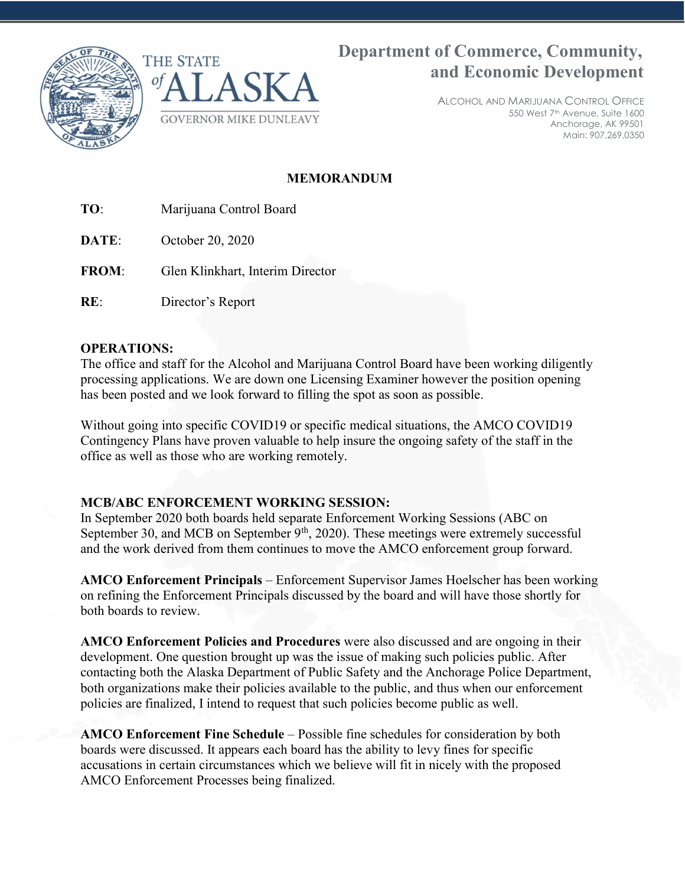



Department of Commerce, Community, and Economic Development

> ALCOHOL AND MARIJUANA CONTROL OFFICE 550 West 7th Avenue, Suite 1600 Anchorage, AK 99501 Main: 907.269.0350

# MEMORANDUM

- TO: Marijuana Control Board
- **DATE:** October 20, 2020
- FROM: Glen Klinkhart, Interim Director
- RE: Director's Report

## OPERATIONS:

The office and staff for the Alcohol and Marijuana Control Board have been working diligently processing applications. We are down one Licensing Examiner however the position opening has been posted and we look forward to filling the spot as soon as possible.

Without going into specific COVID19 or specific medical situations, the AMCO COVID19 Contingency Plans have proven valuable to help insure the ongoing safety of the staff in the office as well as those who are working remotely.

## MCB/ABC ENFORCEMENT WORKING SESSION:

In September 2020 both boards held separate Enforcement Working Sessions (ABC on September 30, and MCB on September  $9<sup>th</sup>$ , 2020). These meetings were extremely successful and the work derived from them continues to move the AMCO enforcement group forward.

AMCO Enforcement Principals – Enforcement Supervisor James Hoelscher has been working on refining the Enforcement Principals discussed by the board and will have those shortly for both boards to review.

AMCO Enforcement Policies and Procedures were also discussed and are ongoing in their development. One question brought up was the issue of making such policies public. After contacting both the Alaska Department of Public Safety and the Anchorage Police Department, both organizations make their policies available to the public, and thus when our enforcement policies are finalized, I intend to request that such policies become public as well.

AMCO Enforcement Fine Schedule – Possible fine schedules for consideration by both boards were discussed. It appears each board has the ability to levy fines for specific accusations in certain circumstances which we believe will fit in nicely with the proposed AMCO Enforcement Processes being finalized.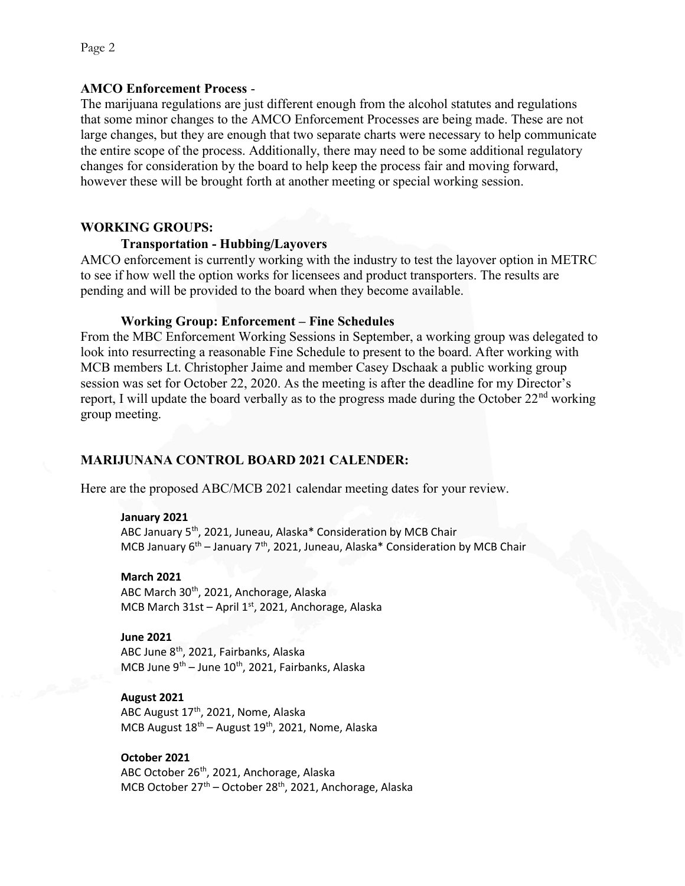## AMCO Enforcement Process -

The marijuana regulations are just different enough from the alcohol statutes and regulations that some minor changes to the AMCO Enforcement Processes are being made. These are not large changes, but they are enough that two separate charts were necessary to help communicate the entire scope of the process. Additionally, there may need to be some additional regulatory changes for consideration by the board to help keep the process fair and moving forward, however these will be brought forth at another meeting or special working session.

## WORKING GROUPS:

## Transportation - Hubbing/Layovers

AMCO enforcement is currently working with the industry to test the layover option in METRC to see if how well the option works for licensees and product transporters. The results are pending and will be provided to the board when they become available.

## Working Group: Enforcement – Fine Schedules

From the MBC Enforcement Working Sessions in September, a working group was delegated to look into resurrecting a reasonable Fine Schedule to present to the board. After working with MCB members Lt. Christopher Jaime and member Casey Dschaak a public working group session was set for October 22, 2020. As the meeting is after the deadline for my Director's report, I will update the board verbally as to the progress made during the October  $22<sup>nd</sup>$  working group meeting.

## MARIJUNANA CONTROL BOARD 2021 CALENDER:

Here are the proposed ABC/MCB 2021 calendar meeting dates for your review.

### January 2021

ABC January 5<sup>th</sup>, 2021, Juneau, Alaska\* Consideration by MCB Chair MCB January  $6^{th}$  – January 7<sup>th</sup>, 2021, Juneau, Alaska\* Consideration by MCB Chair

#### March 2021

ABC March 30<sup>th</sup>, 2021, Anchorage, Alaska MCB March  $31st$  – April  $1<sup>st</sup>$ , 2021, Anchorage, Alaska

### June 2021

ABC June 8<sup>th</sup>, 2021, Fairbanks, Alaska MCB June  $9^{th}$  – June  $10^{th}$ , 2021, Fairbanks, Alaska

### August 2021

ABC August 17<sup>th</sup>, 2021, Nome, Alaska MCB August  $18^{th}$  – August  $19^{th}$ , 2021, Nome, Alaska

## October 2021

ABC October 26<sup>th</sup>, 2021, Anchorage, Alaska MCB October 27<sup>th</sup> – October 28<sup>th</sup>, 2021, Anchorage, Alaska